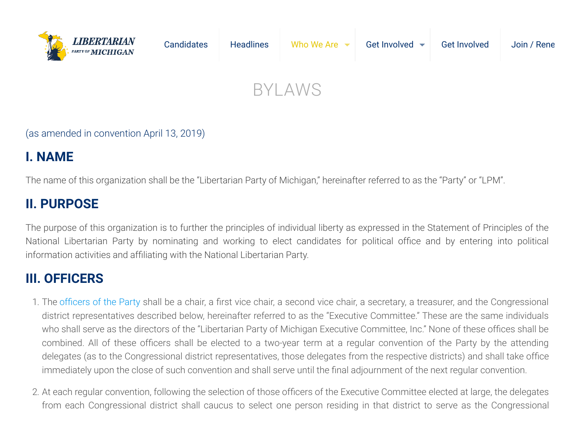

(as amended in convention April 13, 2019)

# **I. NAME**

The name of this organization shall be the "Libertarian Party of Michigan," hereinafter referred to as the "Party" or "LPM".

# **II. PURPOSE**

The purpose of this organization is to further the principles of individual liberty as expressed in the Statement of Principles of the National Libertarian Party by nominating and working to elect candidates for political office and by entering into political information activities and affiliating with the National Libertarian Party.

### **III. OFFICERS**

- 1. The [officers of the Party](https://michiganlp.org/leadership/) shall be a chair, a first vice chair, a second vice chair, a secretary, a treasurer, and the Congressional district representatives described below, hereinafter referred to as the "Executive Committee." These are the same individuals who shall serve as the directors of the "Libertarian Party of Michigan Executive Committee, Inc." None of these offices shall be combined. All of these officers shall be elected to a two-year term at a regular convention of the Party by the attending delegates (as to the Congressional district representatives, those delegates from the respective districts) and shall take office immediately upon the close of such convention and shall serve until the final adjournment of the next regular convention.
- 2. At each regular convention, following the selection of those officers of the Executive Committee elected at large, the delegates from each Congressional district shall caucus to select one person residing in that district to serve as the Congressional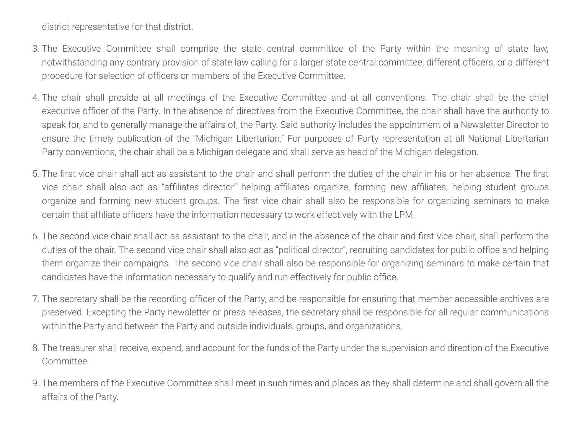district representative for that district.

- 3. The Executive Committee shall comprise the state central committee of the Party within the meaning of state law, notwithstanding any contrary provision of state law calling for a larger state central committee, different officers, or a different procedure for selection of officers or members of the Executive Committee.
- 4. The chair shall preside at all meetings of the Executive Committee and at all conventions. The chair shall be the chief executive officer of the Party. In the absence of directives from the Executive Committee, the chair shall have the authority to speak for, and to generally manage the affairs of, the Party. Said authority includes the appointment of a Newsletter Director to ensure the timely publication of the "Michigan Libertarian." For purposes of Party representation at all National Libertarian Party conventions, the chair shall be a Michigan delegate and shall serve as head of the Michigan delegation.
- 5. The first vice chair shall act as assistant to the chair and shall perform the duties of the chair in his or her absence. The first vice chair shall also act as "affiliates director" helping affiliates organize, forming new affiliates, helping student groups organize and forming new student groups. The first vice chair shall also be responsible for organizing seminars to make certain that affiliate officers have the information necessary to work effectively with the LPM.
- 6. The second vice chair shall act as assistant to the chair, and in the absence of the chair and first vice chair, shall perform the duties of the chair. The second vice chair shall also act as "political director", recruiting candidates for public office and helping them organize their campaigns. The second vice chair shall also be responsible for organizing seminars to make certain that candidates have the information necessary to qualify and run effectively for public office.
- 7. The secretary shall be the recording officer of the Party, and be responsible for ensuring that member-accessible archives are preserved. Excepting the Party newsletter or press releases, the secretary shall be responsible for all regular communications within the Party and between the Party and outside individuals, groups, and organizations.
- 8. The treasurer shall receive, expend, and account for the funds of the Party under the supervision and direction of the Executive Committee.
- 9. The members of the Executive Committee shall meet in such times and places as they shall determine and shall govern all the affairs of the Party.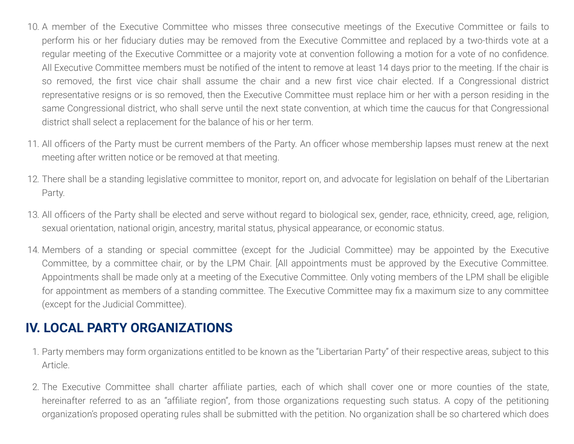- 10. A member of the Executive Committee who misses three consecutive meetings of the Executive Committee or fails to perform his or her fiduciary duties may be removed from the Executive Committee and replaced by a two-thirds vote at a regular meeting of the Executive Committee or a majority vote at convention following a motion for a vote of no confidence. All Executive Committee members must be notified of the intent to remove at least 14 days prior to the meeting. If the chair is so removed, the first vice chair shall assume the chair and a new first vice chair elected. If a Congressional district representative resigns or is so removed, then the Executive Committee must replace him or her with a person residing in the same Congressional district, who shall serve until the next state convention, at which time the caucus for that Congressional district shall select a replacement for the balance of his or her term.
- 11. All officers of the Party must be current members of the Party. An officer whose membership lapses must renew at the next meeting after written notice or be removed at that meeting.
- 12. There shall be a standing legislative committee to monitor, report on, and advocate for legislation on behalf of the Libertarian Party.
- 13. All officers of the Party shall be elected and serve without regard to biological sex, gender, race, ethnicity, creed, age, religion, sexual orientation, national origin, ancestry, marital status, physical appearance, or economic status.
- 14. Members of a standing or special committee (except for the Judicial Committee) may be appointed by the Executive Committee, by a committee chair, or by the LPM Chair. [All appointments must be approved by the Executive Committee. Appointments shall be made only at a meeting of the Executive Committee. Only voting members of the LPM shall be eligible for appointment as members of a standing committee. The Executive Committee may fix a maximum size to any committee (except for the Judicial Committee).

## **IV. LOCAL PARTY ORGANIZATIONS**

- 1. Party members may form organizations entitled to be known as the "Libertarian Party" of their respective areas, subject to this Article.
- 2. The Executive Committee shall charter affiliate parties, each of which shall cover one or more counties of the state, hereinafter referred to as an "affiliate region", from those organizations requesting such status. A copy of the petitioning organization's proposed operating rules shall be submitted with the petition. No organization shall be so chartered which does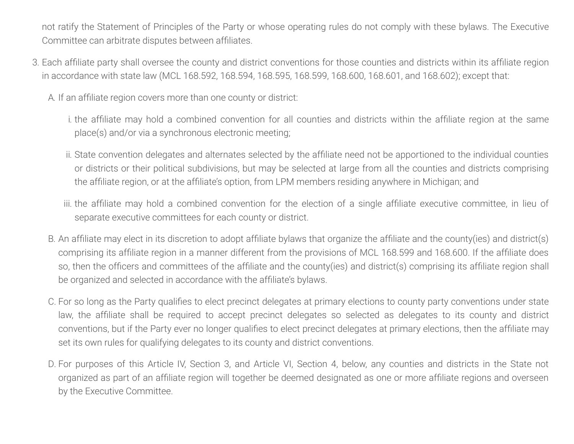not ratify the Statement of Principles of the Party or whose operating rules do not comply with these bylaws. The Executive Committee can arbitrate disputes between affiliates.

- 3. Each affiliate party shall oversee the county and district conventions for those counties and districts within its affiliate region in accordance with state law (MCL 168.592, 168.594, 168.595, 168.599, 168.600, 168.601, and 168.602); except that:
	- A. If an affiliate region covers more than one county or district:
		- i. the affiliate may hold a combined convention for all counties and districts within the affiliate region at the same place(s) and/or via a synchronous electronic meeting;
		- ii. State convention delegates and alternates selected by the affiliate need not be apportioned to the individual counties or districts or their political subdivisions, but may be selected at large from all the counties and districts comprising the affiliate region, or at the affiliate's option, from LPM members residing anywhere in Michigan; and
		- iii. the affiliate may hold a combined convention for the election of a single affiliate executive committee, in lieu of separate executive committees for each county or district.
	- B. An affiliate may elect in its discretion to adopt affiliate bylaws that organize the affiliate and the county(ies) and district(s) comprising its affiliate region in a manner different from the provisions of MCL 168.599 and 168.600. If the affiliate does so, then the officers and committees of the affiliate and the county(ies) and district(s) comprising its affiliate region shall be organized and selected in accordance with the affiliate's bylaws.
	- C. For so long as the Party qualifies to elect precinct delegates at primary elections to county party conventions under state law, the affiliate shall be required to accept precinct delegates so selected as delegates to its county and district conventions, but if the Party ever no longer qualifies to elect precinct delegates at primary elections, then the affiliate may set its own rules for qualifying delegates to its county and district conventions.
	- D. For purposes of this Article IV, Section 3, and Article VI, Section 4, below, any counties and districts in the State not organized as part of an affiliate region will together be deemed designated as one or more affiliate regions and overseen by the Executive Committee.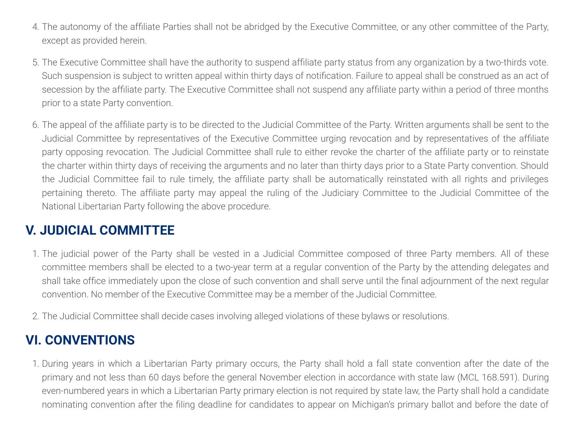- 4. The autonomy of the affiliate Parties shall not be abridged by the Executive Committee, or any other committee of the Party, except as provided herein.
- 5. The Executive Committee shall have the authority to suspend affiliate party status from any organization by a two-thirds vote. Such suspension is subject to written appeal within thirty days of notification. Failure to appeal shall be construed as an act of secession by the affiliate party. The Executive Committee shall not suspend any affiliate party within a period of three months prior to a state Party convention.
- 6. The appeal of the affiliate party is to be directed to the Judicial Committee of the Party. Written arguments shall be sent to the Judicial Committee by representatives of the Executive Committee urging revocation and by representatives of the affiliate party opposing revocation. The Judicial Committee shall rule to either revoke the charter of the affiliate party or to reinstate the charter within thirty days of receiving the arguments and no later than thirty days prior to a State Party convention. Should the Judicial Committee fail to rule timely, the affiliate party shall be automatically reinstated with all rights and privileges pertaining thereto. The affiliate party may appeal the ruling of the Judiciary Committee to the Judicial Committee of the National Libertarian Party following the above procedure.

### **V. JUDICIAL COMMITTEE**

- 1. The judicial power of the Party shall be vested in a Judicial Committee composed of three Party members. All of these committee members shall be elected to a two-year term at a regular convention of the Party by the attending delegates and shall take office immediately upon the close of such convention and shall serve until the final adjournment of the next regular convention. No member of the Executive Committee may be a member of the Judicial Committee.
- 2. The Judicial Committee shall decide cases involving alleged violations of these bylaws or resolutions.

### **VI. CONVENTIONS**

1. During years in which a Libertarian Party primary occurs, the Party shall hold a fall state convention after the date of the primary and not less than 60 days before the general November election in accordance with state law (MCL 168.591). During even-numbered years in which a Libertarian Party primary election is not required by state law, the Party shall hold a candidate nominating convention after the filing deadline for candidates to appear on Michigan's primary ballot and before the date of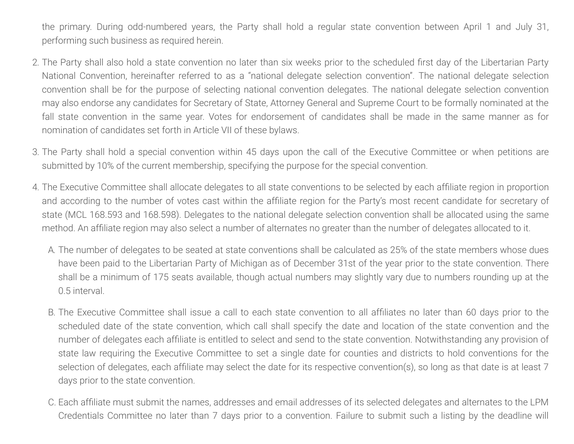the primary. During odd-numbered years, the Party shall hold a regular state convention between April 1 and July 31, performing such business as required herein.

- 2. The Party shall also hold a state convention no later than six weeks prior to the scheduled first day of the Libertarian Party National Convention, hereinafter referred to as a "national delegate selection convention". The national delegate selection convention shall be for the purpose of selecting national convention delegates. The national delegate selection convention may also endorse any candidates for Secretary of State, Attorney General and Supreme Court to be formally nominated at the fall state convention in the same year. Votes for endorsement of candidates shall be made in the same manner as for nomination of candidates set forth in Article VII of these bylaws.
- 3. The Party shall hold a special convention within 45 days upon the call of the Executive Committee or when petitions are submitted by 10% of the current membership, specifying the purpose for the special convention.
- 4. The Executive Committee shall allocate delegates to all state conventions to be selected by each affiliate region in proportion and according to the number of votes cast within the affiliate region for the Party's most recent candidate for secretary of state (MCL 168.593 and 168.598). Delegates to the national delegate selection convention shall be allocated using the same method. An affiliate region may also select a number of alternates no greater than the number of delegates allocated to it.
	- A. The number of delegates to be seated at state conventions shall be calculated as 25% of the state members whose dues have been paid to the Libertarian Party of Michigan as of December 31st of the year prior to the state convention. There shall be a minimum of 175 seats available, though actual numbers may slightly vary due to numbers rounding up at the 0.5 interval.
	- B. The Executive Committee shall issue a call to each state convention to all affiliates no later than 60 days prior to the scheduled date of the state convention, which call shall specify the date and location of the state convention and the number of delegates each affiliate is entitled to select and send to the state convention. Notwithstanding any provision of state law requiring the Executive Committee to set a single date for counties and districts to hold conventions for the selection of delegates, each affiliate may select the date for its respective convention(s), so long as that date is at least 7 days prior to the state convention.
	- C. Each affiliate must submit the names, addresses and email addresses of its selected delegates and alternates to the LPM Credentials Committee no later than 7 days prior to a convention. Failure to submit such a listing by the deadline will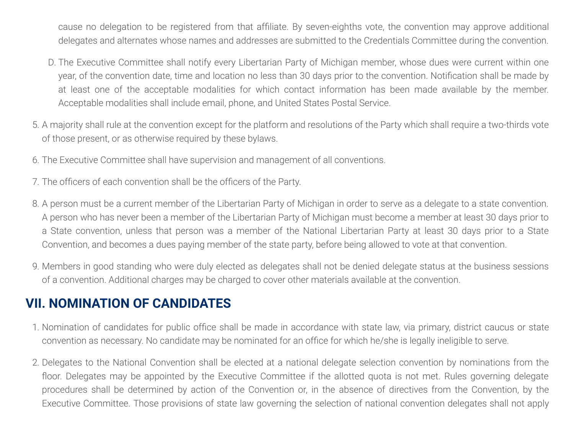cause no delegation to be registered from that affiliate. By seven-eighths vote, the convention may approve additional delegates and alternates whose names and addresses are submitted to the Credentials Committee during the convention.

- D. The Executive Committee shall notify every Libertarian Party of Michigan member, whose dues were current within one year, of the convention date, time and location no less than 30 days prior to the convention. Notification shall be made by at least one of the acceptable modalities for which contact information has been made available by the member. Acceptable modalities shall include email, phone, and United States Postal Service.
- 5. A majority shall rule at the convention except for the platform and resolutions of the Party which shall require a two-thirds vote of those present, or as otherwise required by these bylaws.
- 6. The Executive Committee shall have supervision and management of all conventions.
- 7. The officers of each convention shall be the officers of the Party.
- 8. A person must be a current member of the Libertarian Party of Michigan in order to serve as a delegate to a state convention. A person who has never been a member of the Libertarian Party of Michigan must become a member at least 30 days prior to a State convention, unless that person was a member of the National Libertarian Party at least 30 days prior to a State Convention, and becomes a dues paying member of the state party, before being allowed to vote at that convention.
- 9. Members in good standing who were duly elected as delegates shall not be denied delegate status at the business sessions of a convention. Additional charges may be charged to cover other materials available at the convention.

#### **VII. NOMINATION OF CANDIDATES**

- 1. Nomination of candidates for public office shall be made in accordance with state law, via primary, district caucus or state convention as necessary. No candidate may be nominated for an office for which he/she is legally ineligible to serve.
- 2. Delegates to the National Convention shall be elected at a national delegate selection convention by nominations from the floor. Delegates may be appointed by the Executive Committee if the allotted quota is not met. Rules governing delegate procedures shall be determined by action of the Convention or, in the absence of directives from the Convention, by the Executive Committee. Those provisions of state law governing the selection of national convention delegates shall not apply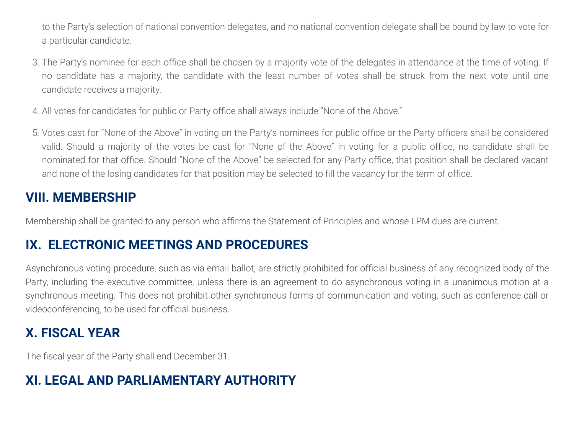to the Party's selection of national convention delegates, and no national convention delegate shall be bound by law to vote for a particular candidate.

- 3. The Party's nominee for each office shall be chosen by a majority vote of the delegates in attendance at the time of voting. If no candidate has a majority, the candidate with the least number of votes shall be struck from the next vote until one candidate receives a majority.
- 4. All votes for candidates for public or Party office shall always include "None of the Above."
- 5. Votes cast for "None of the Above" in voting on the Party's nominees for public office or the Party officers shall be considered valid. Should a majority of the votes be cast for "None of the Above" in voting for a public office, no candidate shall be nominated for that office. Should "None of the Above" be selected for any Party office, that position shall be declared vacant and none of the losing candidates for that position may be selected to fill the vacancy for the term of office.

### **VIII. MEMBERSHIP**

Membership shall be granted to any person who affirms the Statement of Principles and whose LPM dues are current.

## **IX. ELECTRONIC MEETINGS AND PROCEDURES**

Asynchronous voting procedure, such as via email ballot, are strictly prohibited for official business of any recognized body of the Party, including the executive committee, unless there is an agreement to do asynchronous voting in a unanimous motion at a synchronous meeting. This does not prohibit other synchronous forms of communication and voting, such as conference call or videoconferencing, to be used for official business.

# **X. FISCAL YEAR**

The fiscal year of the Party shall end December 31.

# **XI. LEGAL AND PARLIAMENTARY AUTHORITY**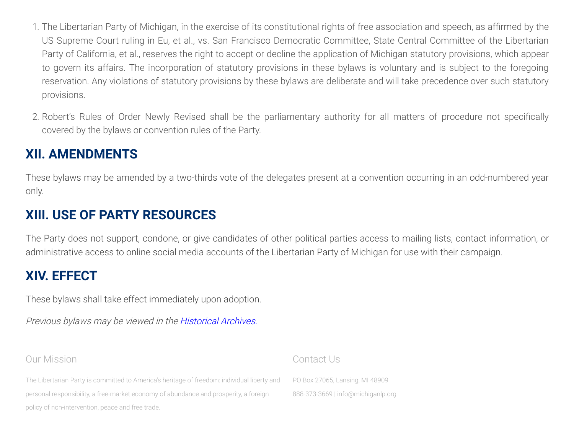- 1. The Libertarian Party of Michigan, in the exercise of its constitutional rights of free association and speech, as affirmed by the US Supreme Court ruling in Eu, et al., vs. San Francisco Democratic Committee, State Central Committee of the Libertarian Party of California, et al., reserves the right to accept or decline the application of Michigan statutory provisions, which appear to govern its affairs. The incorporation of statutory provisions in these bylaws is voluntary and is subject to the foregoing reservation. Any violations of statutory provisions by these bylaws are deliberate and will take precedence over such statutory provisions.
- 2. Robert's Rules of Order Newly Revised shall be the parliamentary authority for all matters of procedure not specifically covered by the bylaws or convention rules of the Party.

## **XII. AMENDMENTS**

These bylaws may be amended by a two-thirds vote of the delegates present at a convention occurring in an odd-numbered year only.

#### **XIII. USE OF PARTY RESOURCES**

The Party does not support, condone, or give candidates of other political parties access to mailing lists, contact information, or administrative access to online social media accounts of the Libertarian Party of Michigan for use with their campaign.

#### **XIV. EFFECT**

These bylaws shall take effect immediately upon adoption.

Previous bylaws may be viewed in the [Historical Archives.](http://old.michiganlp.org/organization/lpm-bylaws/)

#### Our Mission

The Libertarian Party is committed to America's heritage of freedom: individual liberty and personal responsibility, a free-market economy of abundance and prosperity, a foreign policy of non-intervention, peace and free trade.

#### Contact Us

PO Box 27065, Lansing, MI 48909 888-373-3669 | [info@michiganlp.org](mailto:info@michiganlp.org)